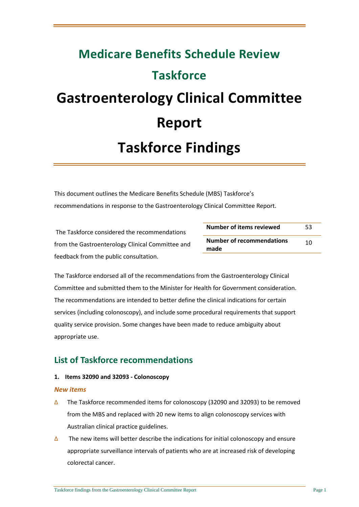# **Medicare Benefits Schedule Review Taskforce Gastroenterology Clinical Committee Report Taskforce Findings**

This document outlines the Medicare Benefits Schedule (MBS) Taskforce's recommendations in response to the Gastroenterology Clinical Committee Report.

The Taskforce considered the recommendations from the Gastroenterology Clinical Committee and feedback from the public consultation.

**Number of items reviewed** 53 **Number of recommendations made** 10

The Taskforce endorsed all of the recommendations from the Gastroenterology Clinical Committee and submitted them to the Minister for Health for Government consideration. The recommendations are intended to better define the clinical indications for certain services (including colonoscopy), and include some procedural requirements that support quality service provision. Some changes have been made to reduce ambiguity about appropriate use.

# **List of Taskforce recommendations**

#### **1. Items 32090 and 32093 - Colonoscopy**

#### *New items*

- ∆ The Taskforce recommended items for colonoscopy (32090 and 32093) to be removed from the MBS and replaced with 20 new items to align colonoscopy services with Australian clinical practice guidelines.
- $\Delta$  The new items will better describe the indications for initial colonoscopy and ensure appropriate surveillance intervals of patients who are at increased risk of developing colorectal cancer.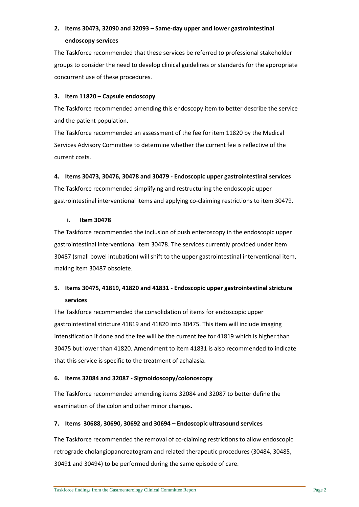# **2. Items 30473, 32090 and 32093 – Same-day upper and lower gastrointestinal endoscopy services**

The Taskforce recommended that these services be referred to professional stakeholder groups to consider the need to develop clinical guidelines or standards for the appropriate concurrent use of these procedures.

#### **3. Item 11820 – Capsule endoscopy**

The Taskforce recommended amending this endoscopy item to better describe the service and the patient population.

The Taskforce recommended an assessment of the fee for item 11820 by the Medical Services Advisory Committee to determine whether the current fee is reflective of the current costs.

### **4. Items 30473, 30476, 30478 and 30479 - Endoscopic upper gastrointestinal services**

The Taskforce recommended simplifying and restructuring the endoscopic upper gastrointestinal interventional items and applying co-claiming restrictions to item 30479.

#### **i. Item 30478**

The Taskforce recommended the inclusion of push enteroscopy in the endoscopic upper gastrointestinal interventional item 30478. The services currently provided under item 30487 (small bowel intubation) will shift to the upper gastrointestinal interventional item, making item 30487 obsolete.

# **5. Items 30475, 41819, 41820 and 41831 - Endoscopic upper gastrointestinal stricture services**

The Taskforce recommended the consolidation of items for endoscopic upper gastrointestinal stricture 41819 and 41820 into 30475. This item will include imaging intensification if done and the fee will be the current fee for 41819 which is higher than 30475 but lower than 41820. Amendment to item 41831 is also recommended to indicate that this service is specific to the treatment of achalasia.

## **6. Items 32084 and 32087 - Sigmoidoscopy/colonoscopy**

The Taskforce recommended amending items 32084 and 32087 to better define the examination of the colon and other minor changes.

## **7. Items 30688, 30690, 30692 and 30694** *–* **Endoscopic ultrasound services**

The Taskforce recommended the removal of co-claiming restrictions to allow endoscopic retrograde cholangiopancreatogram and related therapeutic procedures (30484, 30485, 30491 and 30494) to be performed during the same episode of care.